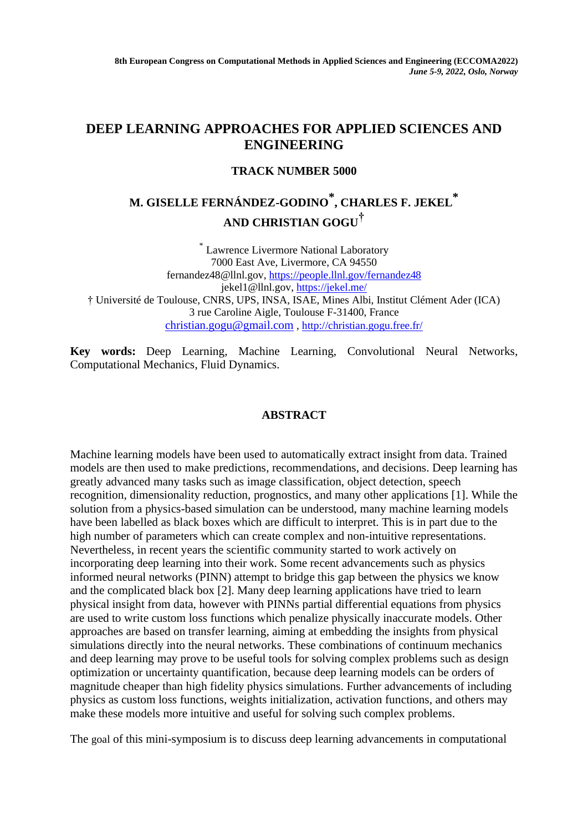## **DEEP LEARNING APPROACHES FOR APPLIED SCIENCES AND ENGINEERING**

### **TRACK NUMBER 5000**

# **M. GISELLE FERNÁNDEZ-GODINO \* , CHARLES F. JEKEL \* AND CHRISTIAN GOGU†**

\* Lawrence Livermore National Laboratory 7000 East Ave, Livermore, CA 94550 fernandez48@llnl.gov,<https://people.llnl.gov/fernandez48> jekel1@llnl.gov,<https://jekel.me/> † Université de Toulouse, CNRS, UPS, INSA, ISAE, Mines Albi, Institut Clément Ader (ICA) 3 rue Caroline Aigle, Toulouse F-31400, France [christian.gogu@gmail.com](mailto:christian.gogu@gmail.com) ,<http://christian.gogu.free.fr/>

**Key words:** Deep Learning, Machine Learning, Convolutional Neural Networks, Computational Mechanics, Fluid Dynamics.

### **ABSTRACT**

Machine learning models have been used to automatically extract insight from data. Trained models are then used to make predictions, recommendations, and decisions. Deep learning has greatly advanced many tasks such as image classification, object detection, speech recognition, dimensionality reduction, prognostics, and many other applications [1]. While the solution from a physics-based simulation can be understood, many machine learning models have been labelled as black boxes which are difficult to interpret. This is in part due to the high number of parameters which can create complex and non-intuitive representations. Nevertheless, in recent years the scientific community started to work actively on incorporating deep learning into their work. Some recent advancements such as physics informed neural networks (PINN) attempt to bridge this gap between the physics we know and the complicated black box [2]. Many deep learning applications have tried to learn physical insight from data, however with PINNs partial differential equations from physics are used to write custom loss functions which penalize physically inaccurate models. Other approaches are based on transfer learning, aiming at embedding the insights from physical simulations directly into the neural networks. These combinations of continuum mechanics and deep learning may prove to be useful tools for solving complex problems such as design optimization or uncertainty quantification, because deep learning models can be orders of magnitude cheaper than high fidelity physics simulations. Further advancements of including physics as custom loss functions, weights initialization, activation functions, and others may make these models more intuitive and useful for solving such complex problems.

The goal of this mini-symposium is to discuss deep learning advancements in computational